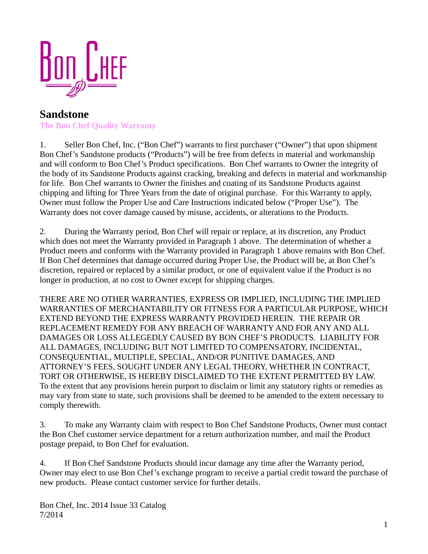

## **Sandstone The Bon Chef Quality Warranty**

1. Seller Bon Chef, Inc. ("Bon Chef") warrants to first purchaser ("Owner") that upon shipment Bon Chef's Sandstone products ("Products") will be free from defects in material and workmanship and will conform to Bon Chef's Product specifications. Bon Chef warrants to Owner the integrity of the body of its Sandstone Products against cracking, breaking and defects in material and workmanship for life. Bon Chef warrants to Owner the finishes and coating of its Sandstone Products against chipping and lifting for Three Years from the date of original purchase. For this Warranty to apply, Owner must follow the Proper Use and Care Instructions indicated below ("Proper Use"). The Warranty does not cover damage caused by misuse, accidents, or alterations to the Products.

2. During the Warranty period, Bon Chef will repair or replace, at its discretion, any Product which does not meet the Warranty provided in Paragraph 1 above. The determination of whether a Product meets and conforms with the Warranty provided in Paragraph 1 above remains with Bon Chef. If Bon Chef determines that damage occurred during Proper Use, the Product will be, at Bon Chef's discretion, repaired or replaced by a similar product, or one of equivalent value if the Product is no longer in production, at no cost to Owner except for shipping charges.

THERE ARE NO OTHER WARRANTIES, EXPRESS OR IMPLIED, INCLUDING THE IMPLIED WARRANTIES OF MERCHANTABILITY OR FITNESS FOR A PARTICULAR PURPOSE, WHICH EXTEND BEYOND THE EXPRESS WARRANTY PROVIDED HEREIN. THE REPAIR OR REPLACEMENT REMEDY FOR ANY BREACH OF WARRANTY AND FOR ANY AND ALL DAMAGES OR LOSS ALLEGEDLY CAUSED BY BON CHEF'S PRODUCTS. LIABILITY FOR ALL DAMAGES, INCLUDING BUT NOT LIMITED TO COMPENSATORY, INCIDENTAL, CONSEQUENTIAL, MULTIPLE, SPECIAL, AND/OR PUNITIVE DAMAGES, AND ATTORNEY'S FEES, SOUGHT UNDER ANY LEGAL THEORY, WHETHER IN CONTRACT, TORT OR OTHERWISE, IS HEREBY DISCLAIMED TO THE EXTENT PERMITTED BY LAW. To the extent that any provisions herein purport to disclaim or limit any statutory rights or remedies as may vary from state to state, such provisions shall be deemed to be amended to the extent necessary to comply therewith.

3. To make any Warranty claim with respect to Bon Chef Sandstone Products, Owner must contact the Bon Chef customer service department for a return authorization number, and mail the Product postage prepaid, to Bon Chef for evaluation.

4. If Bon Chef Sandstone Products should incur damage any time after the Warranty period, Owner may elect to use Bon Chef's exchange program to receive a partial credit toward the purchase of new products. Please contact customer service for further details.